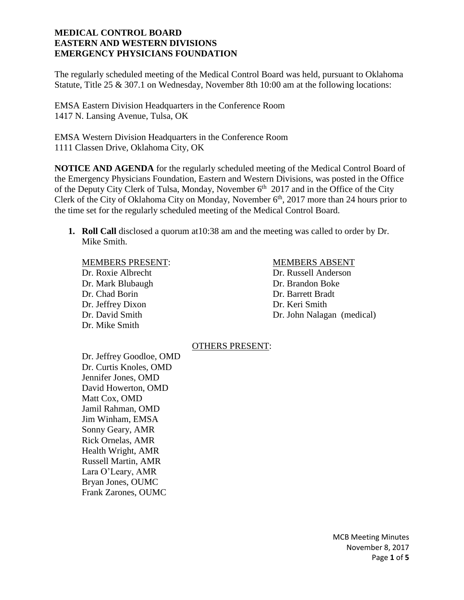The regularly scheduled meeting of the Medical Control Board was held, pursuant to Oklahoma Statute, Title 25 & 307.1 on Wednesday, November 8th 10:00 am at the following locations:

EMSA Eastern Division Headquarters in the Conference Room 1417 N. Lansing Avenue, Tulsa, OK

EMSA Western Division Headquarters in the Conference Room 1111 Classen Drive, Oklahoma City, OK

**NOTICE AND AGENDA** for the regularly scheduled meeting of the Medical Control Board of the Emergency Physicians Foundation, Eastern and Western Divisions, was posted in the Office of the Deputy City Clerk of Tulsa, Monday, November  $6<sup>th</sup>$  2017 and in the Office of the City Clerk of the City of Oklahoma City on Monday, November 6<sup>th</sup>, 2017 more than 24 hours prior to the time set for the regularly scheduled meeting of the Medical Control Board.

**1. Roll Call** disclosed a quorum at10:38 am and the meeting was called to order by Dr. Mike Smith.

# MEMBERS PRESENT: MEMBERS ABSENT

Dr. Mark Blubaugh Dr. Brandon Boke Dr. Chad Borin Dr. Barrett Bradt Dr. Jeffrey Dixon Dr. Keri Smith Dr. Mike Smith

Dr. Roxie Albrecht Dr. Russell Anderson Dr. David Smith Dr. John Nalagan (medical)

#### OTHERS PRESENT:

Dr. Jeffrey Goodloe, OMD Dr. Curtis Knoles, OMD Jennifer Jones, OMD David Howerton, OMD Matt Cox, OMD Jamil Rahman, OMD Jim Winham, EMSA Sonny Geary, AMR Rick Ornelas, AMR Health Wright, AMR Russell Martin, AMR Lara O'Leary, AMR Bryan Jones, OUMC Frank Zarones, OUMC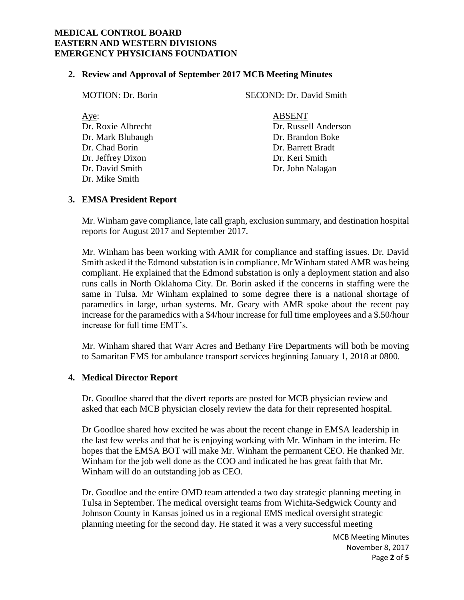#### **2. Review and Approval of September 2017 MCB Meeting Minutes**

| <b>MOTION: Dr. Borin</b> | SECOND: Dr. David Smith |
|--------------------------|-------------------------|
| Aye:                     | <b>ABSENT</b>           |
| Dr. Roxie Albrecht       | Dr. Russell Anderson    |
| Dr. Mark Blubaugh        | Dr. Brandon Boke        |
| Dr. Chad Borin           | Dr. Barrett Bradt       |
| Dr. Jeffrey Dixon        | Dr. Keri Smith          |
| Dr. David Smith          | Dr. John Nalagan        |
| Dr. Mike Smith           |                         |

#### **3. EMSA President Report**

Mr. Winham gave compliance, late call graph, exclusion summary, and destination hospital reports for August 2017 and September 2017.

Mr. Winham has been working with AMR for compliance and staffing issues. Dr. David Smith asked if the Edmond substation is in compliance. Mr Winham stated AMR was being compliant. He explained that the Edmond substation is only a deployment station and also runs calls in North Oklahoma City. Dr. Borin asked if the concerns in staffing were the same in Tulsa. Mr Winham explained to some degree there is a national shortage of paramedics in large, urban systems. Mr. Geary with AMR spoke about the recent pay increase for the paramedics with a \$4/hour increase for full time employees and a \$.50/hour increase for full time EMT's.

Mr. Winham shared that Warr Acres and Bethany Fire Departments will both be moving to Samaritan EMS for ambulance transport services beginning January 1, 2018 at 0800.

#### **4. Medical Director Report**

Dr. Goodloe shared that the divert reports are posted for MCB physician review and asked that each MCB physician closely review the data for their represented hospital.

Dr Goodloe shared how excited he was about the recent change in EMSA leadership in the last few weeks and that he is enjoying working with Mr. Winham in the interim. He hopes that the EMSA BOT will make Mr. Winham the permanent CEO. He thanked Mr. Winham for the job well done as the COO and indicated he has great faith that Mr. Winham will do an outstanding job as CEO.

Dr. Goodloe and the entire OMD team attended a two day strategic planning meeting in Tulsa in September. The medical oversight teams from Wichita-Sedgwick County and Johnson County in Kansas joined us in a regional EMS medical oversight strategic planning meeting for the second day. He stated it was a very successful meeting

> MCB Meeting Minutes November 8, 2017 Page **2** of **5**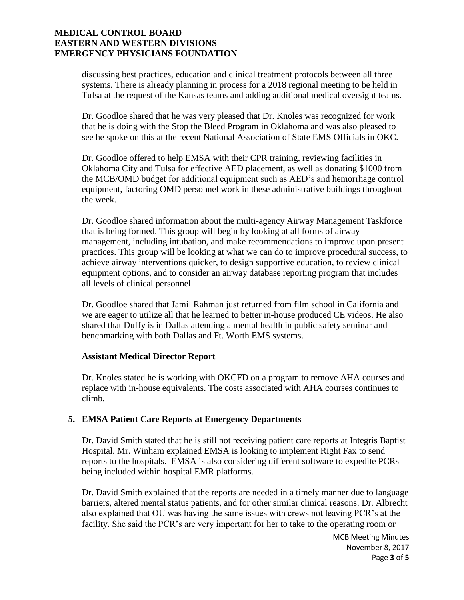discussing best practices, education and clinical treatment protocols between all three systems. There is already planning in process for a 2018 regional meeting to be held in Tulsa at the request of the Kansas teams and adding additional medical oversight teams.

Dr. Goodloe shared that he was very pleased that Dr. Knoles was recognized for work that he is doing with the Stop the Bleed Program in Oklahoma and was also pleased to see he spoke on this at the recent National Association of State EMS Officials in OKC.

Dr. Goodloe offered to help EMSA with their CPR training, reviewing facilities in Oklahoma City and Tulsa for effective AED placement, as well as donating \$1000 from the MCB/OMD budget for additional equipment such as AED's and hemorrhage control equipment, factoring OMD personnel work in these administrative buildings throughout the week.

Dr. Goodloe shared information about the multi-agency Airway Management Taskforce that is being formed. This group will begin by looking at all forms of airway management, including intubation, and make recommendations to improve upon present practices. This group will be looking at what we can do to improve procedural success, to achieve airway interventions quicker, to design supportive education, to review clinical equipment options, and to consider an airway database reporting program that includes all levels of clinical personnel.

Dr. Goodloe shared that Jamil Rahman just returned from film school in California and we are eager to utilize all that he learned to better in-house produced CE videos. He also shared that Duffy is in Dallas attending a mental health in public safety seminar and benchmarking with both Dallas and Ft. Worth EMS systems.

#### **Assistant Medical Director Report**

Dr. Knoles stated he is working with OKCFD on a program to remove AHA courses and replace with in-house equivalents. The costs associated with AHA courses continues to climb.

# **5. EMSA Patient Care Reports at Emergency Departments**

Dr. David Smith stated that he is still not receiving patient care reports at Integris Baptist Hospital. Mr. Winham explained EMSA is looking to implement Right Fax to send reports to the hospitals. EMSA is also considering different software to expedite PCRs being included within hospital EMR platforms.

Dr. David Smith explained that the reports are needed in a timely manner due to language barriers, altered mental status patients, and for other similar clinical reasons. Dr. Albrecht also explained that OU was having the same issues with crews not leaving PCR's at the facility. She said the PCR's are very important for her to take to the operating room or

> MCB Meeting Minutes November 8, 2017 Page **3** of **5**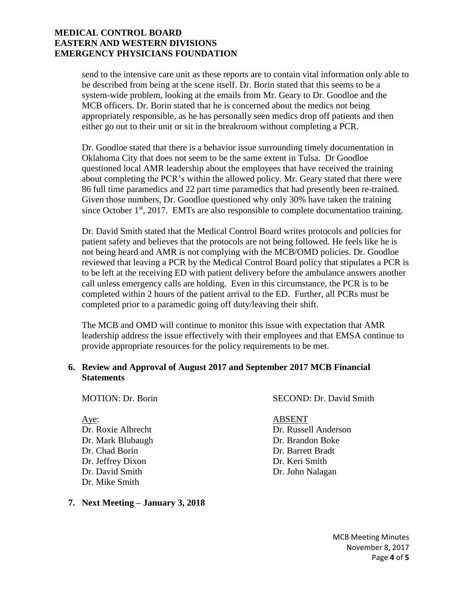send to the intensive care unit as these reports are to contain vital information only able to be described from being at the scene itself. Dr. Borin stated that this seems to be a system-wide problem, looking at the emails from Mr. Geary to Dr. Goodloe and the MCB officers. Dr. Borin stated that he is concerned about the medics not being appropriately responsible, as he has personally seen medics drop off patients and then either go out to their unit or sit in the breakroom without completing a PCR.

Dr. Goodloe stated that there is a behavior issue surrounding timely documentation in Oklahoma City that does not seem to be the same extent in Tulsa. Dr Goodloe questioned local AMR leadership about the employees that have received the training about completing the PCR's within the allowed policy. Mr. Geary stated that there were 86 full time paramedics and 22 part time paramedics that had presently been re-trained. Given those numbers, Dr. Goodloe questioned why only 30% have taken the training since October  $1<sup>st</sup>$ , 2017. EMTs are also responsible to complete documentation training.

Dr. David Smith stated that the Medical Control Board writes protocols and policies for patient safety and believes that the protocols are not being followed. He feels like he is not being heard and AMR is not complying with the MCB/OMD policies. Dr. Goodloe reviewed that leaving a PCR by the Medical Control Board policy that stipulates a PCR is to be left at the receiving ED with patient delivery before the ambulance answers another call unless emergency calls are holding. Even in this circumstance, the PCR is to be completed within 2 hours of the patient arrival to the ED. Further, all PCRs must be completed prior to a paramedic going off duty/leaving their shift.

The MCB and OMD will continue to monitor this issue with expectation that AMR leadership address the issue effectively with their employees and that EMSA continue to provide appropriate resources for the policy requirements to be met.

#### **6. Review and Approval of August 2017 and September 2017 MCB Financial Statements**

MOTION: Dr. Borin SECOND: Dr. David Smith

Aye: ABSENT Dr. Mark Blubaugh Dr. Brandon Boke Dr. Chad Borin Dr. Barrett Bradt Dr. Jeffrey Dixon Dr. Keri Smith Dr. David Smith Dr. John Nalagan Dr. Mike Smith

# **7. Next Meeting – January 3, 2018**

Dr. Roxie Albrecht Dr. Russell Anderson

MCB Meeting Minutes November 8, 2017 Page **4** of **5**